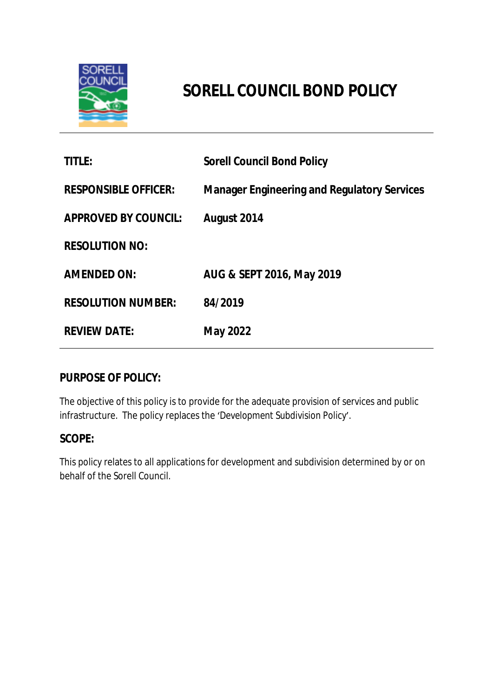

# **SORELL COUNCIL BOND POLICY**

| <b>TITLE:</b>               | <b>Sorell Council Bond Policy</b>                  |
|-----------------------------|----------------------------------------------------|
| <b>RESPONSIBLE OFFICER:</b> | <b>Manager Engineering and Regulatory Services</b> |
| <b>APPROVED BY COUNCIL:</b> | August 2014                                        |
| <b>RESOLUTION NO:</b>       |                                                    |
| <b>AMENDED ON:</b>          | AUG & SEPT 2016, May 2019                          |
| <b>RESOLUTION NUMBER:</b>   | 84/2019                                            |
| <b>REVIEW DATE:</b>         | <b>May 2022</b>                                    |

## **PURPOSE OF POLICY:**

The objective of this policy is to provide for the adequate provision of services and public infrastructure. The policy replaces the '*Development Subdivision Policy*'.

## **SCOPE:**

This policy relates to all applications for development and subdivision determined by or on behalf of the Sorell Council.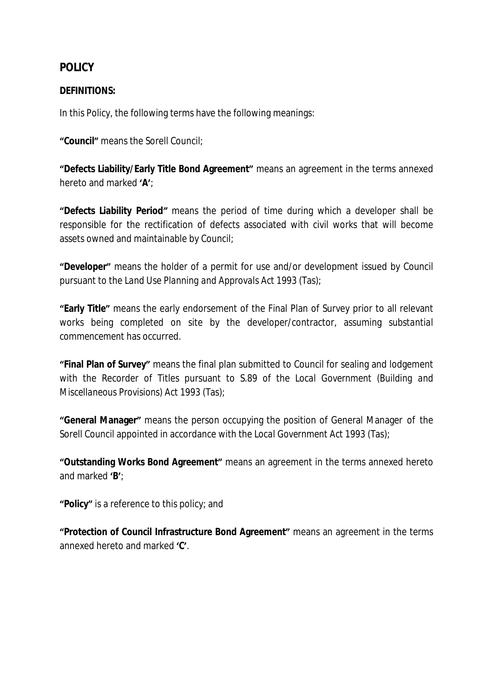# **POLICY**

### **DEFINITIONS:**

In this Policy, the following terms have the following meanings:

**"Council"** means the Sorell Council;

**"Defects Liability/Early Title Bond Agreement"** means an agreement in the terms annexed hereto and marked **'A'**;

**"Defects Liability Period***"* means the period of time during which a developer shall be responsible for the rectification of defects associated with civil works that will become assets owned and maintainable by Council;

**"Developer"** means the holder of a permit for use and/or development issued by Council pursuant to the *Land Use Planning and Approvals Act 1993* (Tas);

**"Early Title"** means the early endorsement of the Final Plan of Survey prior to all relevant works being completed on site by the developer/contractor, assuming *substantial commencement* has occurred.

**"Final Plan of Survey"** means the final plan submitted to Council for sealing and lodgement with the Recorder of Titles pursuant to S.89 of the *Local Government (Building and Miscellaneous Provisions) Act 1993* (Tas);

**"General Manager"** means the person occupying the position of General Manager of the Sorell Council appointed in accordance with the *Local Government Act 1993* (Tas);

**"Outstanding Works Bond Agreement"** means an agreement in the terms annexed hereto and marked **'B'**;

**"Policy"** is a reference to this policy; and

**"Protection of Council Infrastructure Bond Agreement"** means an agreement in the terms annexed hereto and marked **'C'**.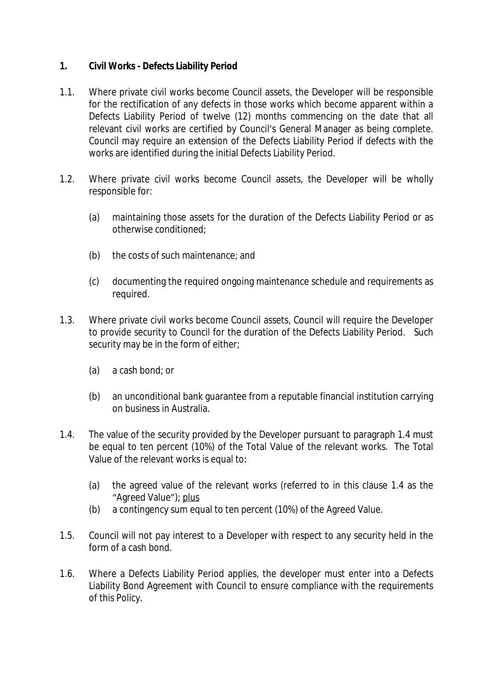#### **1. Civil Works - Defects Liability Period**

- 1.1. Where private civil works become Council assets, the Developer will be responsible for the rectification of any defects in those works which become apparent within a Defects Liability Period of twelve (12) months commencing on the date that all relevant civil works are certified by Council's General Manager as being complete. Council may require an extension of the Defects Liability Period if defects with the works are identified during the initial Defects Liability Period.
- 1.2. Where private civil works become Council assets, the Developer will be wholly responsible for:
	- (a) maintaining those assets for the duration of the Defects Liability Period or as otherwise conditioned;
	- (b) the costs of such maintenance; and
	- (c) documenting the required ongoing maintenance schedule and requirements as required.
- 1.3. Where private civil works become Council assets, Council will require the Developer to provide security to Council for the duration of the Defects Liability Period. Such security may be in the form of either;
	- (a) a cash bond; or
	- (b) an unconditional bank guarantee from a reputable financial institution carrying on business in Australia.
- 1.4. The value of the security provided by the Developer pursuant to paragraph 1.4 must be equal to ten percent (10%) of the Total Value of the relevant works. The Total Value of the relevant works is equal to:
	- (a) the agreed value of the relevant works (referred to in this clause 1.4 as the "Agreed Value"); plus
	- (b) a contingency sum equal to ten percent (10%) of the Agreed Value.
- 1.5. Council will not pay interest to a Developer with respect to any security held in the form of a cash bond.
- 1.6. Where a Defects Liability Period applies, the developer must enter into a Defects Liability Bond Agreement with Council to ensure compliance with the requirements of this Policy.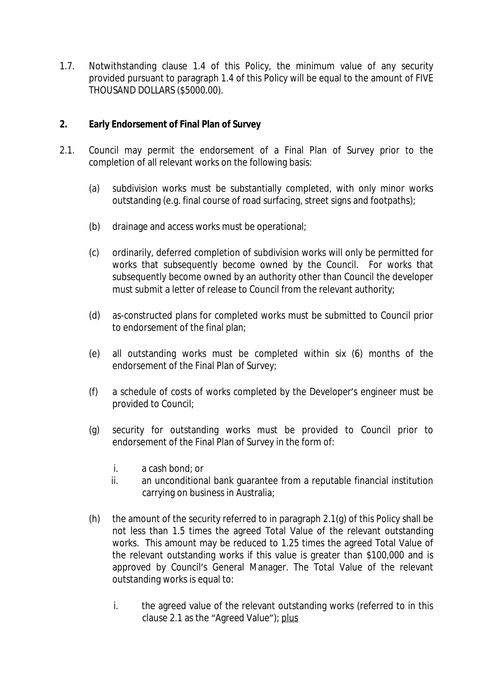1.7. Notwithstanding clause 1.4 of this Policy, the minimum value of any security provided pursuant to paragraph 1.4 of this Policy will be equal to the amount of FIVE THOUSAND DOLLARS (\$5000.00).

#### **2. Early Endorsement of Final Plan of Survey**

- 2.1. Council may permit the endorsement of a Final Plan of Survey prior to the completion of all relevant works on the following basis:
	- (a) subdivision works must be substantially completed, with only minor works outstanding (e.g. final course of road surfacing, street signs and footpaths);
	- (b) drainage and access works must be operational;
	- (c) ordinarily, deferred completion of subdivision works will only be permitted for works that subsequently become owned by the Council. For works that subsequently become owned by an authority other than Council the developer must submit a letter of release to Council from the relevant authority;
	- (d) as-constructed plans for completed works must be submitted to Council prior to endorsement of the final plan;
	- (e) all outstanding works must be completed within six (6) months of the endorsement of the Final Plan of Survey;
	- (f) a schedule of costs of works completed by the Developer's engineer must be provided to Council;
	- (g) security for outstanding works must be provided to Council prior to endorsement of the Final Plan of Survey in the form of:
		- i. a cash bond; or
		- ii. an unconditional bank guarantee from a reputable financial institution carrying on business in Australia;
	- (h) the amount of the security referred to in paragraph  $2.1(q)$  of this Policy shall be not less than 1.5 times the agreed Total Value of the relevant outstanding works. This amount may be reduced to 1.25 times the agreed Total Value of the relevant outstanding works if this value is greater than \$100,000 and is approved by Council's General Manager. The Total Value of the relevant outstanding works is equal to:
		- i. the agreed value of the relevant outstanding works (referred to in this clause 2.1 as the "Agreed Value"); plus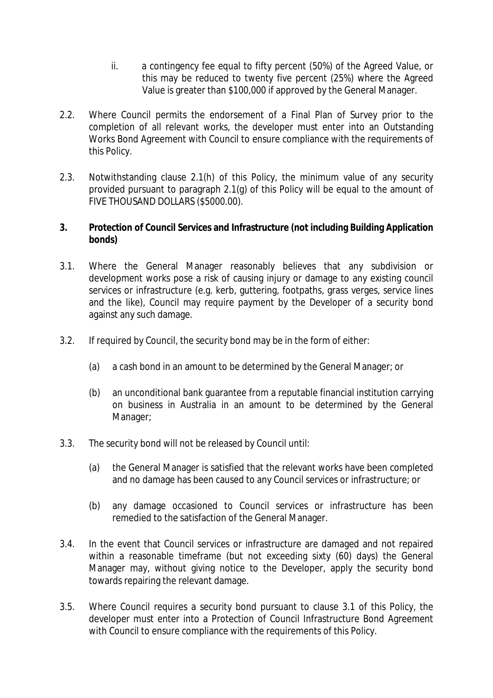- ii. a contingency fee equal to fifty percent (50%) of the Agreed Value, or this may be reduced to twenty five percent (25%) where the Agreed Value is greater than \$100,000 if approved by the General Manager.
- 2.2. Where Council permits the endorsement of a Final Plan of Survey prior to the completion of all relevant works, the developer must enter into an Outstanding Works Bond Agreement with Council to ensure compliance with the requirements of this Policy.
- 2.3. Notwithstanding clause 2.1(h) of this Policy, the minimum value of any security provided pursuant to paragraph 2.1(g) of this Policy will be equal to the amount of FIVE THOUSAND DOLLARS (\$5000.00).

#### **3. Protection of Council Services and Infrastructure (not including Building Application bonds)**

- 3.1. Where the General Manager reasonably believes that any subdivision or development works pose a risk of causing injury or damage to any existing council services or infrastructure (e.g. kerb, guttering, footpaths, grass verges, service lines and the like), Council may require payment by the Developer of a security bond against any such damage.
- 3.2. If required by Council, the security bond may be in the form of either:
	- (a) a cash bond in an amount to be determined by the General Manager; or
	- (b) an unconditional bank guarantee from a reputable financial institution carrying on business in Australia in an amount to be determined by the General Manager;
- 3.3. The security bond will not be released by Council until:
	- (a) the General Manager is satisfied that the relevant works have been completed and no damage has been caused to any Council services or infrastructure; or
	- (b) any damage occasioned to Council services or infrastructure has been remedied to the satisfaction of the General Manager.
- 3.4. In the event that Council services or infrastructure are damaged and not repaired within a reasonable timeframe (but not exceeding sixty (60) days) the General Manager may, without giving notice to the Developer, apply the security bond towards repairing the relevant damage.
- 3.5. Where Council requires a security bond pursuant to clause 3.1 of this Policy, the developer must enter into a Protection of Council Infrastructure Bond Agreement with Council to ensure compliance with the requirements of this Policy.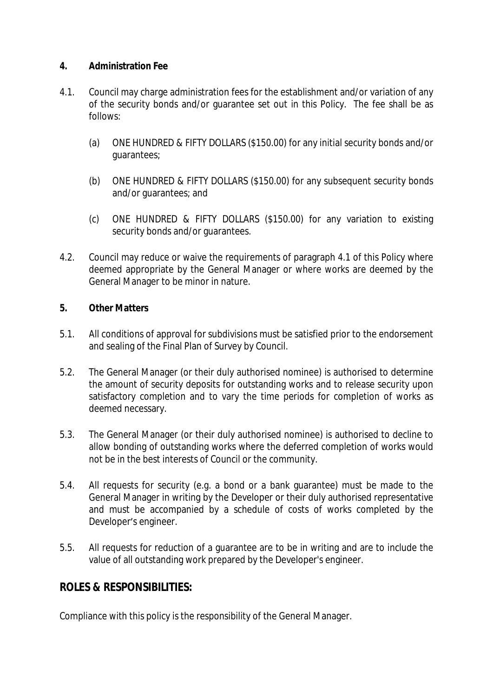#### **4. Administration Fee**

- 4.1. Council may charge administration fees for the establishment and/or variation of any of the security bonds and/or guarantee set out in this Policy. The fee shall be as follows:
	- (a) ONE HUNDRED & FIFTY DOLLARS (\$150.00) for any initial security bonds and/or guarantees;
	- (b) ONE HUNDRED & FIFTY DOLLARS (\$150.00) for any subsequent security bonds and/or guarantees; and
	- (c) ONE HUNDRED & FIFTY DOLLARS (\$150.00) for any variation to existing security bonds and/or guarantees.
- 4.2. Council may reduce or waive the requirements of paragraph 4.1 of this Policy where deemed appropriate by the General Manager or where works are deemed by the General Manager to be minor in nature.

#### **5. Other Matters**

- 5.1. All conditions of approval for subdivisions must be satisfied prior to the endorsement and sealing of the Final Plan of Survey by Council.
- 5.2. The General Manager (or their duly authorised nominee) is authorised to determine the amount of security deposits for outstanding works and to release security upon satisfactory completion and to vary the time periods for completion of works as deemed necessary.
- 5.3. The General Manager (or their duly authorised nominee) is authorised to decline to allow bonding of outstanding works where the deferred completion of works would not be in the best interests of Council or the community.
- 5.4. All requests for security (e.g. a bond or a bank guarantee) must be made to the General Manager in writing by the Developer or their duly authorised representative and must be accompanied by a schedule of costs of works completed by the Developer's engineer.
- 5.5. All requests for reduction of a guarantee are to be in writing and are to include the value of all outstanding work prepared by the Developer's engineer.

## **ROLES & RESPONSIBILITIES:**

Compliance with this policy is the responsibility of the General Manager.